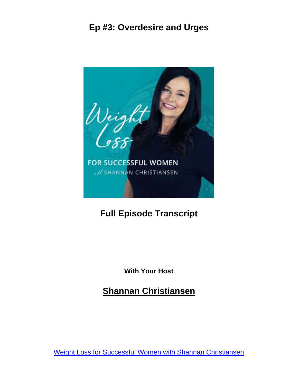

# **Full Episode Transcript**

**With Your Host**

**Shannan Christiansen**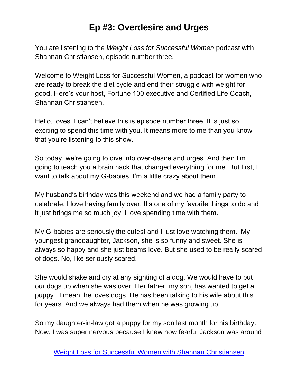You are listening to the *Weight Loss for Successful Women* podcast with Shannan Christiansen, episode number three.

Welcome to Weight Loss for Successful Women, a podcast for women who are ready to break the diet cycle and end their struggle with weight for good. Here's your host, Fortune 100 executive and Certified Life Coach, Shannan Christiansen.

Hello, loves. I can't believe this is episode number three. It is just so exciting to spend this time with you. It means more to me than you know that you're listening to this show.

So today, we're going to dive into over-desire and urges. And then I'm going to teach you a brain hack that changed everything for me. But first, I want to talk about my G-babies. I'm a little crazy about them.

My husband's birthday was this weekend and we had a family party to celebrate. I love having family over. It's one of my favorite things to do and it just brings me so much joy. I love spending time with them.

My G-babies are seriously the cutest and I just love watching them. My youngest granddaughter, Jackson, she is so funny and sweet. She is always so happy and she just beams love. But she used to be really scared of dogs. No, like seriously scared.

She would shake and cry at any sighting of a dog. We would have to put our dogs up when she was over. Her father, my son, has wanted to get a puppy. I mean, he loves dogs. He has been talking to his wife about this for years. And we always had them when he was growing up.

So my daughter-in-law got a puppy for my son last month for his birthday. Now, I was super nervous because I knew how fearful Jackson was around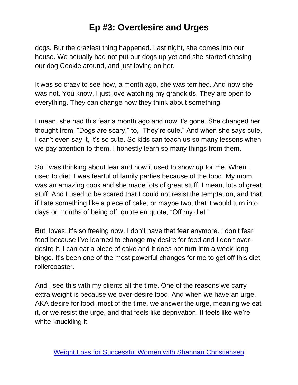dogs. But the craziest thing happened. Last night, she comes into our house. We actually had not put our dogs up yet and she started chasing our dog Cookie around, and just loving on her.

It was so crazy to see how, a month ago, she was terrified. And now she was not. You know, I just love watching my grandkids. They are open to everything. They can change how they think about something.

I mean, she had this fear a month ago and now it's gone. She changed her thought from, "Dogs are scary," to, "They're cute." And when she says cute, I can't even say it, it's so cute. So kids can teach us so many lessons when we pay attention to them. I honestly learn so many things from them.

So I was thinking about fear and how it used to show up for me. When I used to diet, I was fearful of family parties because of the food. My mom was an amazing cook and she made lots of great stuff. I mean, lots of great stuff. And I used to be scared that I could not resist the temptation, and that if I ate something like a piece of cake, or maybe two, that it would turn into days or months of being off, quote en quote, "Off my diet."

But, loves, it's so freeing now. I don't have that fear anymore. I don't fear food because I've learned to change my desire for food and I don't overdesire it. I can eat a piece of cake and it does not turn into a week-long binge. It's been one of the most powerful changes for me to get off this diet rollercoaster.

And I see this with my clients all the time. One of the reasons we carry extra weight is because we over-desire food. And when we have an urge, AKA desire for food, most of the time, we answer the urge, meaning we eat it, or we resist the urge, and that feels like deprivation. It feels like we're white-knuckling it.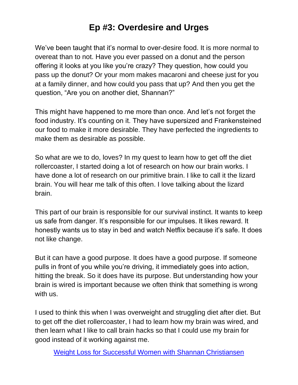We've been taught that it's normal to over-desire food. It is more normal to overeat than to not. Have you ever passed on a donut and the person offering it looks at you like you're crazy? They question, how could you pass up the donut? Or your mom makes macaroni and cheese just for you at a family dinner, and how could you pass that up? And then you get the question, "Are you on another diet, Shannan?"

This might have happened to me more than once. And let's not forget the food industry. It's counting on it. They have supersized and Frankensteined our food to make it more desirable. They have perfected the ingredients to make them as desirable as possible.

So what are we to do, loves? In my quest to learn how to get off the diet rollercoaster, I started doing a lot of research on how our brain works. I have done a lot of research on our primitive brain. I like to call it the lizard brain. You will hear me talk of this often. I love talking about the lizard brain.

This part of our brain is responsible for our survival instinct. It wants to keep us safe from danger. It's responsible for our impulses. It likes reward. It honestly wants us to stay in bed and watch Netflix because it's safe. It does not like change.

But it can have a good purpose. It does have a good purpose. If someone pulls in front of you while you're driving, it immediately goes into action, hitting the break. So it does have its purpose. But understanding how your brain is wired is important because we often think that something is wrong with us.

I used to think this when I was overweight and struggling diet after diet. But to get off the diet rollercoaster, I had to learn how my brain was wired, and then learn what I like to call brain hacks so that I could use my brain for good instead of it working against me.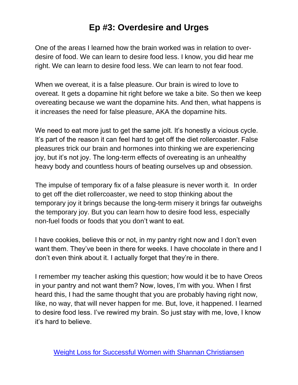One of the areas I learned how the brain worked was in relation to overdesire of food. We can learn to desire food less. I know, you did hear me right. We can learn to desire food less. We can learn to not fear food.

When we overeat, it is a false pleasure. Our brain is wired to love to overeat. It gets a dopamine hit right before we take a bite. So then we keep overeating because we want the dopamine hits. And then, what happens is it increases the need for false pleasure, AKA the dopamine hits.

We need to eat more just to get the same jolt. It's honestly a vicious cycle. It's part of the reason it can feel hard to get off the diet rollercoaster. False pleasures trick our brain and hormones into thinking we are experiencing joy, but it's not joy. The long-term effects of overeating is an unhealthy heavy body and countless hours of beating ourselves up and obsession.

The impulse of temporary fix of a false pleasure is never worth it. In order to get off the diet rollercoaster, we need to stop thinking about the temporary joy it brings because the long-term misery it brings far outweighs the temporary joy. But you can learn how to desire food less, especially non-fuel foods or foods that you don't want to eat.

I have cookies, believe this or not, in my pantry right now and I don't even want them. They've been in there for weeks. I have chocolate in there and I don't even think about it. I actually forget that they're in there.

I remember my teacher asking this question; how would it be to have Oreos in your pantry and not want them? Now, loves, I'm with you. When I first heard this, I had the same thought that you are probably having right now, like, no way, that will never happen for me. But, love, it happened. I learned to desire food less. I've rewired my brain. So just stay with me, love, I know it's hard to believe.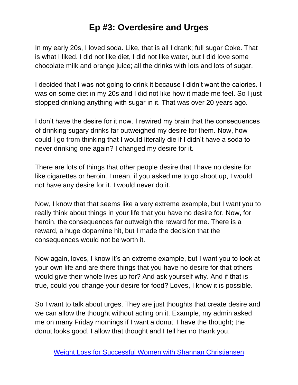In my early 20s, I loved soda. Like, that is all I drank; full sugar Coke. That is what I liked. I did not like diet, I did not like water, but I did love some chocolate milk and orange juice; all the drinks with lots and lots of sugar.

I decided that I was not going to drink it because I didn't want the calories. I was on some diet in my 20s and I did not like how it made me feel. So I just stopped drinking anything with sugar in it. That was over 20 years ago.

I don't have the desire for it now. I rewired my brain that the consequences of drinking sugary drinks far outweighed my desire for them. Now, how could I go from thinking that I would literally die if I didn't have a soda to never drinking one again? I changed my desire for it.

There are lots of things that other people desire that I have no desire for like cigarettes or heroin. I mean, if you asked me to go shoot up, I would not have any desire for it. I would never do it.

Now, I know that that seems like a very extreme example, but I want you to really think about things in your life that you have no desire for. Now, for heroin, the consequences far outweigh the reward for me. There is a reward, a huge dopamine hit, but I made the decision that the consequences would not be worth it.

Now again, loves, I know it's an extreme example, but I want you to look at your own life and are there things that you have no desire for that others would give their whole lives up for? And ask yourself why. And if that is true, could you change your desire for food? Loves, I know it is possible.

So I want to talk about urges. They are just thoughts that create desire and we can allow the thought without acting on it. Example, my admin asked me on many Friday mornings if I want a donut. I have the thought; the donut looks good. I allow that thought and I tell her no thank you.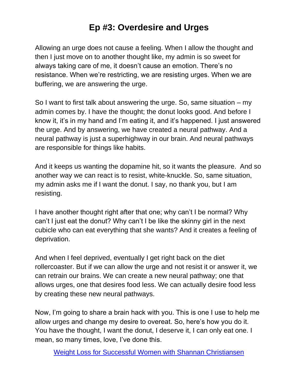Allowing an urge does not cause a feeling. When I allow the thought and then I just move on to another thought like, my admin is so sweet for always taking care of me, it doesn't cause an emotion. There's no resistance. When we're restricting, we are resisting urges. When we are buffering, we are answering the urge.

So I want to first talk about answering the urge. So, same situation – my admin comes by. I have the thought; the donut looks good. And before I know it, it's in my hand and I'm eating it, and it's happened. I just answered the urge. And by answering, we have created a neural pathway. And a neural pathway is just a superhighway in our brain. And neural pathways are responsible for things like habits.

And it keeps us wanting the dopamine hit, so it wants the pleasure. And so another way we can react is to resist, white-knuckle. So, same situation, my admin asks me if I want the donut. I say, no thank you, but I am resisting.

I have another thought right after that one; why can't I be normal? Why can't I just eat the donut? Why can't I be like the skinny girl in the next cubicle who can eat everything that she wants? And it creates a feeling of deprivation.

And when I feel deprived, eventually I get right back on the diet rollercoaster. But if we can allow the urge and not resist it or answer it, we can retrain our brains. We can create a new neural pathway; one that allows urges, one that desires food less. We can actually desire food less by creating these new neural pathways.

Now, I'm going to share a brain hack with you. This is one I use to help me allow urges and change my desire to overeat. So, here's how you do it. You have the thought, I want the donut, I deserve it, I can only eat one. I mean, so many times, love, I've done this.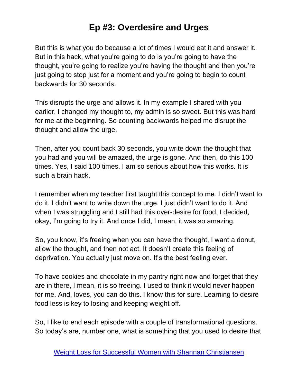But this is what you do because a lot of times I would eat it and answer it. But in this hack, what you're going to do is you're going to have the thought, you're going to realize you're having the thought and then you're just going to stop just for a moment and you're going to begin to count backwards for 30 seconds.

This disrupts the urge and allows it. In my example I shared with you earlier, I changed my thought to, my admin is so sweet. But this was hard for me at the beginning. So counting backwards helped me disrupt the thought and allow the urge.

Then, after you count back 30 seconds, you write down the thought that you had and you will be amazed, the urge is gone. And then, do this 100 times. Yes, I said 100 times. I am so serious about how this works. It is such a brain hack.

I remember when my teacher first taught this concept to me. I didn't want to do it. I didn't want to write down the urge. I just didn't want to do it. And when I was struggling and I still had this over-desire for food, I decided, okay, I'm going to try it. And once I did, I mean, it was so amazing.

So, you know, it's freeing when you can have the thought, I want a donut, allow the thought, and then not act. It doesn't create this feeling of deprivation. You actually just move on. It's the best feeling ever.

To have cookies and chocolate in my pantry right now and forget that they are in there, I mean, it is so freeing. I used to think it would never happen for me. And, loves, you can do this. I know this for sure. Learning to desire food less is key to losing and keeping weight off.

So, I like to end each episode with a couple of transformational questions. So today's are, number one, what is something that you used to desire that